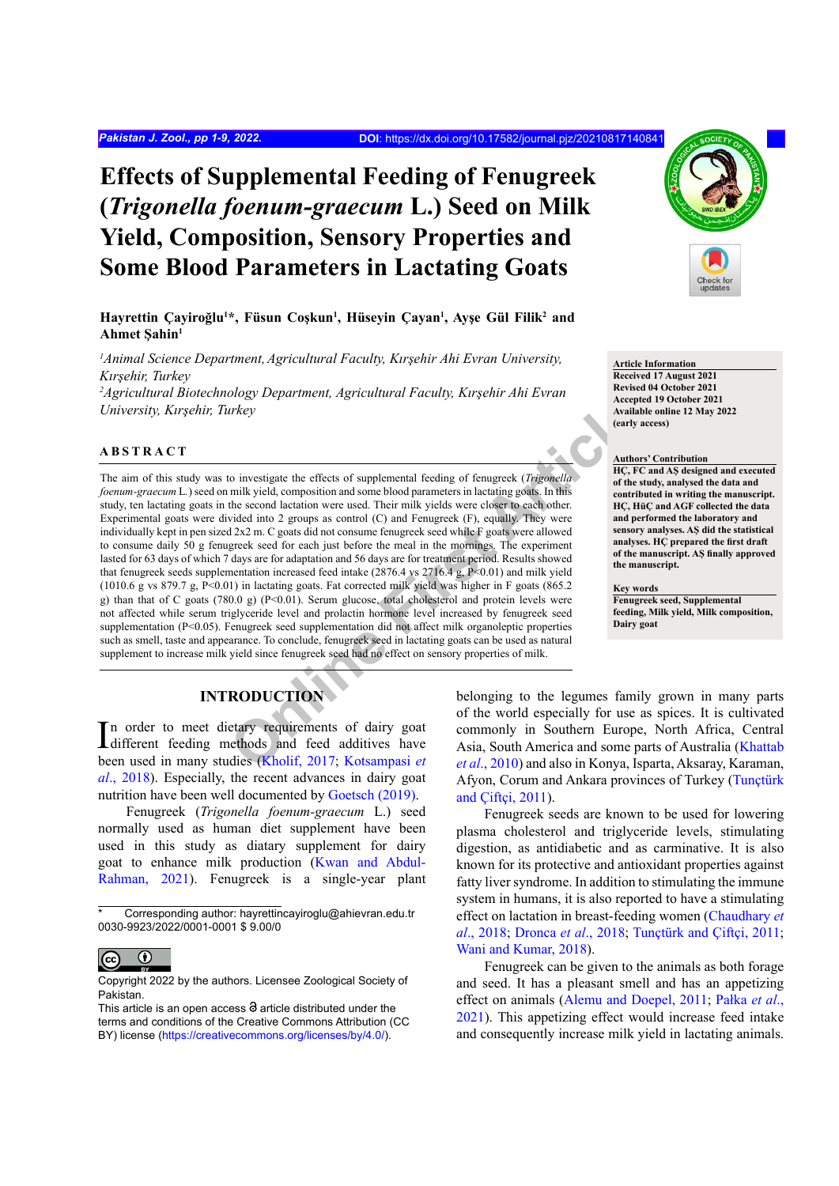# **Effects of Supplemental Feeding of Fenugreek (***Trigonella foenum-graecum* **L.) Seed on Milk Yield, Composition, Sensory Properties and Some Blood Parameters in Lactating Goats**

**Hayrettin Çayiroğlu<sup>1</sup> \*, Füsun Coşkun<sup>1</sup> , Hüseyin Çayan1 , Ayşe Gül Filik<sup>2</sup> and Ahmet Şahin<sup>1</sup>**

*1 Animal Science Department,Agricultural Faculty, Kırşehir Ahi Evran University, Kırşehir, Turkey*

*2 Agricultural Biotechnology Department, Agricultural Faculty, Kırşehir Ahi Evran University, Kırşehir, Turkey*

### **ABSTRACT**

*Challe Constrainer* and Society and Society and Article<br>
Convestigate the effects of supplemental feeding of fenugreek (*Trigonella*<br>
In C, FC and First Article Constrainer and some blood parameters in lactating goals. In The aim of this study was to investigate the effects of supplemental feeding of fenugreek (*Trigonella foenum-graecum* L*.*) seed on milk yield, composition and some blood parameters in lactating goats. In this study, ten lactating goats in the second lactation were used. Their milk yields were closer to each other. Experimental goats were divided into 2 groups as control (C) and Fenugreek (F), equally. They were individually kept in pen sized 2x2 m. C goats did not consume fenugreek seed while F goats were allowed to consume daily 50 g fenugreek seed for each just before the meal in the mornings. The experiment lasted for 63 days of which 7 days are for adaptation and 56 days are for treatment period. Results showed that fenugreek seeds supplementation increased feed intake (2876.4 vs 2716.4 g, P<0.01) and milk yield (1010.6 g vs 879.7 g, P<0.01) in lactating goats. Fat corrected milk yield was higher in F goats (865.2 g) than that of C goats (780.0 g) (P<0.01). Serum glucose, total cholesterol and protein levels were not affected while serum triglyceride level and prolactin hormone level increased by fenugreek seed supplementation (P<0.05). Fenugreek seed supplementation did not affect milk organoleptic properties such as smell, taste and appearance. To conclude, fenugreek seed in lactating goats can be used as natural supplement to increase milk yield since fenugreek seed had no effect on sensory properties of milk.



**Article Information Received 17 August 2021 Revised 04 October 2021 Accepted 19 October 2021 Available online 12 May 2022**

#### **Authors' Contribution**

**(early access)**

**HÇ, FC and AŞ designed and executed of the study, analysed the data and contributed in writing the manuscript. HÇ, HüÇ and AGF collected the data and performed the laboratory and sensory analyses. AŞ did the statistical analyses. HÇ prepared the first draft of the manuscript. AŞ finally approved the manuscript.**

**Key words Fenugreek seed, Supplemental feeding, Milk yield, Milk composition, Dairy goat**

# **INTRODUCTION**

In order to meet dietary requirements of dairy goat<br>different feeding methods and feed additives have n order to meet dietary requirements of dairy goat been used in many studies (Kholif, 2017; Kotsampasi *et al*[., 2018](#page-7-1)). Especially, the recent advances in dairy goat nutrition have been well documented by [Goetsch \(2019\).](#page-6-0)

Fenugreek (*Trigonella foenum-graecum* L.) seed normally used as human diet supplement have been used in this study as diatary supplement for dairy goat to enhance milk production ([Kwan and Abdul-](#page-7-2)[Rahman, 2021](#page-7-2)). Fenugreek is a single-year plant

Corresponding author: hayrettincayiroglu@ahievran.edu.tr 0030-9923/2022/0001-0001 \$ 9.00/0



Copyright 2022 by the authors. Licensee Zoological Society of Pakistan.

This article is an open access  $\Theta$  article distributed under the terms and conditions of the Creative Commons Attribution (CC BY) license (https://creativecommons.org/licenses/by/4.0/).

belonging to the legumes family grown in many parts of the world especially for use as spices. It is cultivated commonly in Southern Europe, North Africa, Central Asia, South America and some parts of Australia ([Khattab](#page-7-3) *et al*., 2010) and also in Konya, Isparta, Aksaray, Karaman, Afyon, Corum and Ankara provinces of Turkey [\(Tunçtürk](#page-8-0) and Ciftci, 2011).

Fenugreek seeds are known to be used for lowering plasma cholesterol and triglyceride levels, stimulating digestion, as antidiabetic and as carminative. It is also known for its protective and antioxidant properties against fatty liver syndrome. In addition to stimulating the immune system in humans, it is also reported to have a stimulating effect on lactation in breast-feeding women ([Chaudhary](#page-6-1) *et al*[., 2018;](#page-6-1) [Dronca](#page-6-2) *et al*., 2018; [Tunçtürk and Çiftçi, 2011;](#page-8-0) [Wani and Kumar, 2018\)](#page-8-1).

Fenugreek can be given to the animals as both forage and seed. It has a pleasant smell and has an appetizing effect on animals [\(Alemu and Doepel, 2011](#page-6-3); [Pałka](#page-7-4) *et al*., [2021\)](#page-7-4). This appetizing effect would increase feed intake and consequently increase milk yield in lactating animals.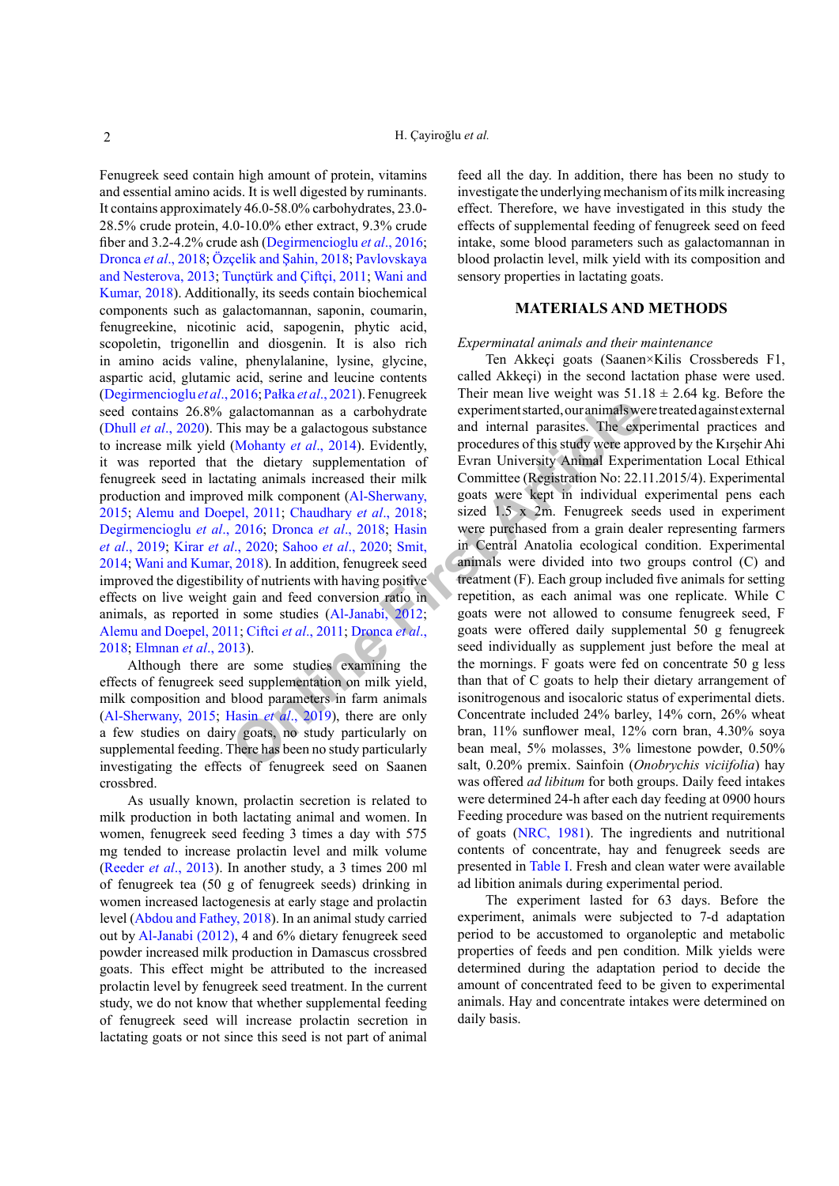Fenugreek seed contain high amount of protein, vitamins and essential amino acids. It is well digested by ruminants. It contains approximately 46.0-58.0% carbohydrates, 23.0- 28.5% crude protein, 4.0-10.0% ether extract, 9.3% crude fiber and 3.2-4.2% crude ash ([Degirmencioglu](#page-6-4) *et al*., 2016; [Dronca](#page-6-2) *et al*., 2018; [Özçelik and Şahin, 2018](#page-7-5); [Pavlovskaya](#page-7-6) [and Nesterova, 2013;](#page-7-6) [Tunçtürk and Çiftçi, 2011;](#page-8-0) [Wani and](#page-8-1) [Kumar, 2018](#page-8-1)). Additionally, its seeds contain biochemical components such as galactomannan, saponin, coumarin, fenugreekine, nicotinic acid, sapogenin, phytic acid, scopoletin, trigonellin and diosgenin. It is also rich in amino acids valine, phenylalanine, lysine, glycine, aspartic acid, glutamic acid, serine and leucine contents [\(Degirmencioglu](#page-6-4) *et al*., 2016; Pałka *et al*., 2021). Fenugreek seed contains 26.8% galactomannan as a carbohydrate (Dhull *et al*[., 2020](#page-6-5)). This may be a galactogous substance to increase milk yield (Mohanty *et al*., 2014). Evidently, it was reported that the dietary supplementation of fenugreek seed in lactating animals increased their milk production and improved milk component (Al-Sherwany, [2015;](#page-6-6) [Alemu and Doepel, 2011;](#page-6-3) Chaudhary *et al*., 2018; [Degirmencioglu](#page-6-4) *et al*., 2016; Dronca *et al*., 2018; Hasin *et al*[., 2019](#page-6-7); Kirar *et al*., 2020; Sahoo *et al*., 2020; Smit, [2014;](#page-7-10) [Wani and Kumar, 2018](#page-8-1)). In addition, fenugreek seed improved the digestibility of nutrients with having positive effects on live weight gain and feed conversion ratio in animals, as reported in some studies (Al-Janabi, 2012; [Alemu and Doepel, 2011](#page-6-3); Ciftci *et al*., 2011; Dronca *et al*., [2018;](#page-6-2) [Elmnan](#page-6-10) *et al*., 2013).

Although there are some studies examining the effects of fenugreek seed supplementation on milk yield, milk composition and blood parameters in farm animals [\(Al-Sherwany, 2015](#page-6-6); Hasin *et al*., 2019), there are only a few studies on dairy goats, no study particularly on supplemental feeding. There has been no study particularly investigating the effects of fenugreek seed on Saanen crossbred.

As usually known, prolactin secretion is related to milk production in both lactating animal and women. In women, fenugreek seed feeding 3 times a day with 575 mg tended to increase prolactin level and milk volume [\(Reeder](#page-7-11) *et al*., 2013). In another study, a 3 times 200 ml of fenugreek tea (50 g of fenugreek seeds) drinking in women increased lactogenesis at early stage and prolactin level ([Abdou and Fathey, 2018\)](#page-6-11). In an animal study carried out by [Al-Janabi \(2012\)](#page-6-8), 4 and 6% dietary fenugreek seed powder increased milk production in Damascus crossbred goats. This effect might be attributed to the increased prolactin level by fenugreek seed treatment. In the current study, we do not know that whether supplemental feeding of fenugreek seed will increase prolactin secretion in lactating goats or not since this seed is not part of animal

feed all the day. In addition, there has been no study to investigate the underlying mechanism of its milk increasing effect. Therefore, we have investigated in this study the effects of supplemental feeding of fenugreek seed on feed intake, some blood parameters such as galactomannan in blood prolactin level, milk yield with its composition and sensory properties in lactating goats.

# **MATERIALS AND METHODS**

#### *Experminatal animals and their maintenance*

**Exampl[e](#page-6-2) 10** and internal set all spaces and internal set all spaces and internal parasites. The experiments are all the spaces are and internal parasites. The experiments are all the dietary supplementation of Evra Unive Ten Akkeçi goats (Saanen×Kilis Crossbereds F1, called Akkeçi) in the second lactation phase were used. Their mean live weight was  $51.18 \pm 2.64$  kg. Before the experiment started, our animals were treated against external and internal parasites. The experimental practices and procedures of this study were approved by the Kırşehir Ahi Evran University Animal Experimentation Local Ethical Committee (Registration No: 22.11.2015/4). Experimental goats were kept in individual experimental pens each sized 1.5 x 2m. Fenugreek seeds used in experiment were purchased from a grain dealer representing farmers in Central Anatolia ecological condition. Experimental animals were divided into two groups control (C) and treatment (F). Each group included five animals for setting repetition, as each animal was one replicate. While C goats were not allowed to consume fenugreek seed, F goats were offered daily supplemental 50 g fenugreek seed individually as supplement just before the meal at the mornings. F goats were fed on concentrate 50 g less than that of C goats to help their dietary arrangement of isonitrogenous and isocaloric status of experimental diets. Concentrate included 24% barley, 14% corn, 26% wheat bran, 11% sunflower meal, 12% corn bran, 4.30% soya bean meal, 5% molasses, 3% limestone powder, 0.50% salt, 0.20% premix. Sainfoin (*Onobrychis viciifolia*) hay was offered *ad libitum* for both groups. Daily feed intakes were determined 24-h after each day feeding at 0900 hours Feeding procedure was based on the nutrient requirements of goats ([NRC, 1981\)](#page-7-12). The ingredients and nutritional contents of concentrate, hay and fenugreek seeds are presented in [Table I.](#page-2-0) Fresh and clean water were available ad libition animals during experimental period.

> The experiment lasted for 63 days. Before the experiment, animals were subjected to 7-d adaptation period to be accustomed to organoleptic and metabolic properties of feeds and pen condition. Milk yields were determined during the adaptation period to decide the amount of concentrated feed to be given to experimental animals. Hay and concentrate intakes were determined on daily basis.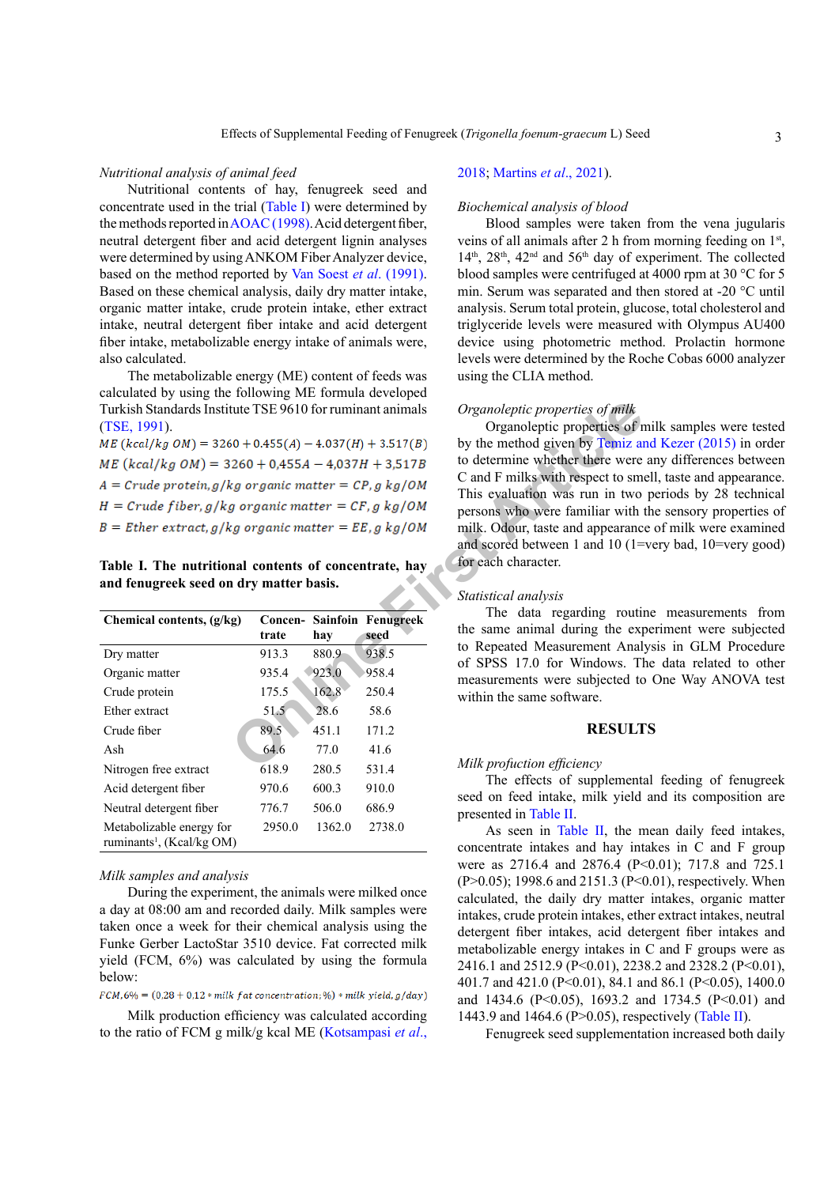#### *Nutritional analysis of animal feed*

Nutritional contents of hay, fenugreek seed and concentrate used in the trial ([Table I\)](#page-2-0) were determined by the methods reported in [AOAC \(1998\)](#page-6-12). Acid detergent fiber, neutral detergent fiber and acid detergent lignin analyses were determined by using ANKOM Fiber Analyzer device, based on the method reported by [Van Soest](#page-8-2) *et al*. (1991). Based on these chemical analysis, daily dry matter intake, organic matter intake, crude protein intake, ether extract intake, neutral detergent fiber intake and acid detergent fiber intake, metabolizable energy intake of animals were, also calculated.

The metabolizable energy (ME) content of feeds was calculated by using the following ME formula developed Turkish Standards Institute TSE 9610 for ruminant animals [\(TSE, 1991\)](#page-7-13).

<span id="page-2-0"></span>**Table I. The nutritional contents of concentrate, hay and fenugreek seed on dry matter basis.**

| Turkish Standards Institute TSE 9610 for ruminant animals<br>$(TSE, 1991)$ .<br>$ME (kcal/kg OM) = 3260 + 0.455(A) - 4.037(H) + 3.517(B)$<br>$ME (kcal/kg OM) = 3260 + 0.455A - 4.037H + 3.517B$<br>$A = Crude protein, g/kg organic matter = CP, g kg/OM$<br>$H = Crude fiber, g/kg organic matter = CF, g kg/OM$<br>$B =$ Ether extract, g/kg organic matter = EE, g kg/OM<br>Table I. The nutritional contents of concentrate, hay<br>and fenugreek seed on dry matter basis. |        |        |                                           | Organoleptic properties of milk<br>Organoleptic properties of r<br>by the method given by Temiz an<br>to determine whether there were<br>C and F milks with respect to sm<br>This evaluation was run in two<br>persons who were familiar with<br>milk. Odour, taste and appearanc<br>and scored between 1 and 10 (1=<br>for each character. |
|----------------------------------------------------------------------------------------------------------------------------------------------------------------------------------------------------------------------------------------------------------------------------------------------------------------------------------------------------------------------------------------------------------------------------------------------------------------------------------|--------|--------|-------------------------------------------|---------------------------------------------------------------------------------------------------------------------------------------------------------------------------------------------------------------------------------------------------------------------------------------------------------------------------------------------|
| Chemical contents, (g/kg)                                                                                                                                                                                                                                                                                                                                                                                                                                                        | trate  | hay    | <b>Concen- Sainfoin Fenugreek</b><br>seed | Statistical analysis<br>The data regarding routin<br>the same animal during the exp                                                                                                                                                                                                                                                         |
| Dry matter                                                                                                                                                                                                                                                                                                                                                                                                                                                                       | 913.3  | 880.9  | 938.5                                     | to Repeated Measurement Anal                                                                                                                                                                                                                                                                                                                |
| Organic matter                                                                                                                                                                                                                                                                                                                                                                                                                                                                   | 935.4  | 923.0  | 958.4                                     | of SPSS 17.0 for Windows. Tl<br>measurements were subjected to                                                                                                                                                                                                                                                                              |
| Crude protein                                                                                                                                                                                                                                                                                                                                                                                                                                                                    | 175.5  | 162.8  | 250.4                                     | within the same software.                                                                                                                                                                                                                                                                                                                   |
| Ether extract                                                                                                                                                                                                                                                                                                                                                                                                                                                                    | 51.5   | 28.6   | 58.6                                      |                                                                                                                                                                                                                                                                                                                                             |
| Crude fiber                                                                                                                                                                                                                                                                                                                                                                                                                                                                      | 89.5   | 451.1  | 171.2                                     | <b>RESULT</b>                                                                                                                                                                                                                                                                                                                               |
| Ash                                                                                                                                                                                                                                                                                                                                                                                                                                                                              | 64.6   | 77.0   | 41.6                                      |                                                                                                                                                                                                                                                                                                                                             |
| Nitrogen free extract                                                                                                                                                                                                                                                                                                                                                                                                                                                            | 618.9  | 280.5  | 531.4                                     | Milk profuction efficiency                                                                                                                                                                                                                                                                                                                  |
| Acid detergent fiber                                                                                                                                                                                                                                                                                                                                                                                                                                                             | 970.6  | 600.3  | 910.0                                     | The effects of supplementa<br>seed on feed intake, milk yield                                                                                                                                                                                                                                                                               |
| Neutral detergent fiber                                                                                                                                                                                                                                                                                                                                                                                                                                                          | 776.7  | 506.0  | 686.9                                     | presented in Table II.                                                                                                                                                                                                                                                                                                                      |
| Metabolizable energy for<br>ruminants <sup>1</sup> , (Kcal/kg OM)                                                                                                                                                                                                                                                                                                                                                                                                                | 2950.0 | 1362.0 | 2738.0                                    | As seen in Table II, the n<br>concentrate intakes and hay int                                                                                                                                                                                                                                                                               |

#### *Milk samples and analysis*

During the experiment, the animals were milked once a day at 08:00 am and recorded daily. Milk samples were taken once a week for their chemical analysis using the Funke Gerber LactoStar 3510 device. Fat corrected milk yield (FCM, 6%) was calculated by using the formula below:

 $FCM, 6\% = (0.28 + 0.12 * milk fat concentration; %$ ) \* milk yield, g/day)

Milk production efficiency was calculated according to the ratio of FCM g milk/g kcal ME [\(Kotsampasi](#page-7-1) *et al*.,

#### [2018;](#page-7-1) [Martins](#page-7-14) *et al*., 2021).

### *Biochemical analysis of blood*

Blood samples were taken from the vena jugularis veins of all animals after 2 h from morning feeding on 1st,  $14<sup>th</sup>$ ,  $28<sup>th</sup>$ ,  $42<sup>nd</sup>$  and  $56<sup>th</sup>$  day of experiment. The collected blood samples were centrifuged at 4000 rpm at 30 °C for 5 min. Serum was separated and then stored at -20 °C until analysis. Serum total protein, glucose, total cholesterol and triglyceride levels were measured with Olympus AU400 device using photometric method. Prolactin hormone levels were determined by the Roche Cobas 6000 analyzer using the CLIA method.

#### *Organoleptic properties of milk*

Organoleptic properties of milk samples were tested by the method given by [Temiz and Kezer \(2015\)](#page-7-15) in order to determine whether there were any differences between C and F milks with respect to smell, taste and appearance. This evaluation was run in two periods by 28 technical persons who were familiar with the sensory properties of milk. Odour, taste and appearance of milk were examined and scored between 1 and 10 (1=very bad, 10=very good) for each character.

# *Statistical analysis*

The data regarding routine measurements from the same animal during the experiment were subjected to Repeated Measurement Analysis in GLM Procedure of SPSS 17.0 for Windows. The data related to other measurements were subjected to One Way ANOVA test within the same software.

#### **RESULTS**

#### *Milk profuction efficiency*

The effects of supplemental feeding of fenugreek seed on feed intake, milk yield and its composition are presented in [Table II.](#page-3-0)

As seen in [Table II,](#page-3-0) the mean daily feed intakes, concentrate intakes and hay intakes in C and F group were as 2716.4 and 2876.4 (P<0.01); 717.8 and 725.1 (P>0.05); 1998.6 and 2151.3 (P<0.01), respectively. When calculated, the daily dry matter intakes, organic matter intakes, crude protein intakes, ether extract intakes, neutral detergent fiber intakes, acid detergent fiber intakes and metabolizable energy intakes in C and F groups were as 2416.1 and 2512.9 (P<0.01), 2238.2 and 2328.2 (P<0.01), 401.7 and 421.0 (P<0.01), 84.1 and 86.1 (P<0.05), 1400.0 and 1434.6 (P<0.05), 1693.2 and 1734.5 (P<0.01) and 1443.9 and 1464.6 (P>0.05), respectively [\(Table II](#page-3-0)).

Fenugreek seed supplementation increased both daily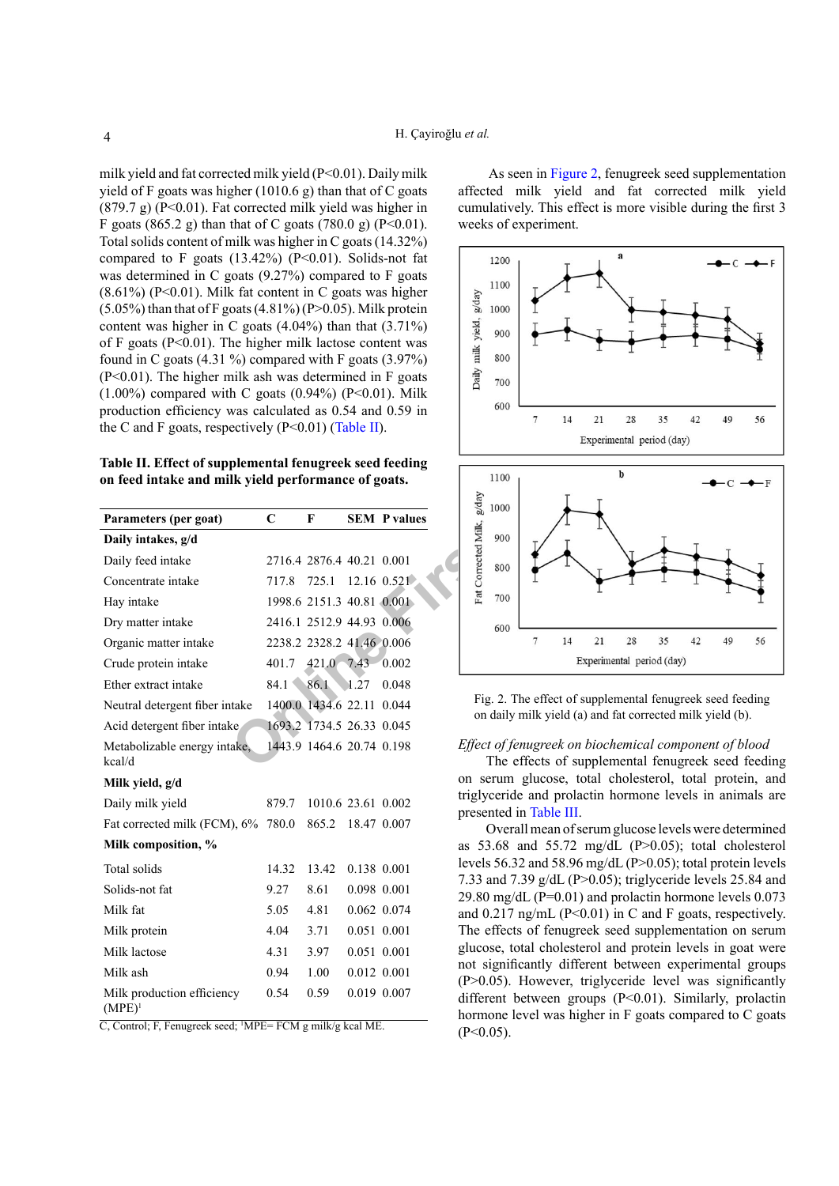milk yield and fat corrected milk yield (P<0.01). Daily milk yield of F goats was higher (1010.6 g) than that of C goats (879.7 g) (P<0.01). Fat corrected milk yield was higher in F goats (865.2 g) than that of C goats (780.0 g) (P<0.01). Total solids content of milk was higher in C goats (14.32%) compared to F goats  $(13.42\%)$  (P<0.01). Solids-not fat was determined in C goats (9.27%) compared to F goats  $(8.61\%)$  (P<0.01). Milk fat content in C goats was higher  $(5.05\%)$  than that of F goats  $(4.81\%)$  (P>0.05). Milk protein content was higher in C goats  $(4.04\%)$  than that  $(3.71\%)$ of F goats ( $P<0.01$ ). The higher milk lactose content was found in C goats  $(4.31\%)$  compared with F goats  $(3.97\%)$ (P<0.01). The higher milk ash was determined in F goats  $(1.00\%)$  compared with C goats  $(0.94\%)$  (P<0.01). Milk production efficiency was calculated as 0.54 and 0.59 in the C and F goats, respectively  $(P<0.01)$  (Table II).

<span id="page-3-0"></span>**Table II. Effect of supplemental fenugreek seed feeding on feed intake and milk yield performance of goats.**

| Parameters (per goat)                   | C     | F                         |      | <b>SEM P values</b> |
|-----------------------------------------|-------|---------------------------|------|---------------------|
| Daily intakes, g/d                      |       |                           |      |                     |
| Daily feed intake                       |       | 2716.4 2876.4 40.21 0.001 |      |                     |
| Concentrate intake                      | 717.8 | 725.1                     |      | $12.16$ 0.521       |
| Hay intake                              |       | 1998.6 2151.3 40.81 0.001 |      |                     |
| Dry matter intake                       |       | 2416.1 2512.9 44.93 0.006 |      |                     |
| Organic matter intake                   |       | 2238.2 2328.2 41.46 0.006 |      |                     |
| Crude protein intake                    |       | 401.7 421.0 7.43          |      | 0.002               |
| Ether extract intake                    | 84.1  | 86.1                      | 1.27 | 0.048               |
| Neutral detergent fiber intake          |       | 1400.0 1434.6 22.11       |      | 0.044               |
| Acid detergent fiber intake             |       | 1693.2 1734.5 26.33 0.045 |      |                     |
| Metabolizable energy intake,<br>kcal/d  |       | 1443.9 1464.6 20.74 0.198 |      |                     |
| Milk yield, g/d                         |       |                           |      |                     |
| Daily milk yield                        | 879.7 | 1010.6 23.61 0.002        |      |                     |
| Fat corrected milk (FCM), 6%            | 780.0 | 865.2                     |      | 18.47 0.007         |
| Milk composition, %                     |       |                           |      |                     |
| Total solids                            | 14.32 | 13.42                     |      | 0.138 0.001         |
| Solids-not fat                          | 9.27  | 8.61                      |      | 0.098 0.001         |
| Milk fat                                | 5.05  | 4.81                      |      | 0.062 0.074         |
| Milk protein                            | 4.04  | 3.71                      |      | 0.051 0.001         |
| Milk lactose                            | 4.31  | 3.97                      |      | 0.051 0.001         |
| Milk ash                                | 0.94  | 1.00                      |      | 0.012 0.001         |
| Milk production efficiency<br>$(MPE)^1$ | 0.54  | 0.59                      |      | 0.019 0.007         |

C, Control; F, Fenugreek seed; 1 MPE= FCM g milk/g kcal ME.

 As seen in [Figure 2](#page-3-1), fenugreek seed supplementation affected milk yield and fat corrected milk yield cumulatively. This effect is more visible during the first 3 weeks of experiment.



<span id="page-3-1"></span>Fig. 2. The effect of supplemental fenugreek seed feeding on daily milk yield (a) and fat corrected milk yield (b).

#### *Effect of fenugreek on biochemical component of blood*

The effects of supplemental fenugreek seed feeding on serum glucose, total cholesterol, total protein, and triglyceride and prolactin hormone levels in animals are presented in [Table III.](#page-4-0)

Overall mean of serum glucose levels were determined as  $53.68$  and  $55.72$  mg/dL (P $>0.05$ ); total cholesterol levels 56.32 and 58.96 mg/dL (P>0.05); total protein levels 7.33 and 7.39  $g/dL$  (P $> 0.05$ ); triglyceride levels 25.84 and 29.80 mg/dL (P=0.01) and prolactin hormone levels 0.073 and  $0.217$  ng/mL (P<0.01) in C and F goats, respectively. The effects of fenugreek seed supplementation on serum glucose, total cholesterol and protein levels in goat were not significantly different between experimental groups (P>0.05). However, triglyceride level was significantly different between groups (P<0.01). Similarly, prolactin hormone level was higher in F goats compared to C goats  $(P<0.05)$ .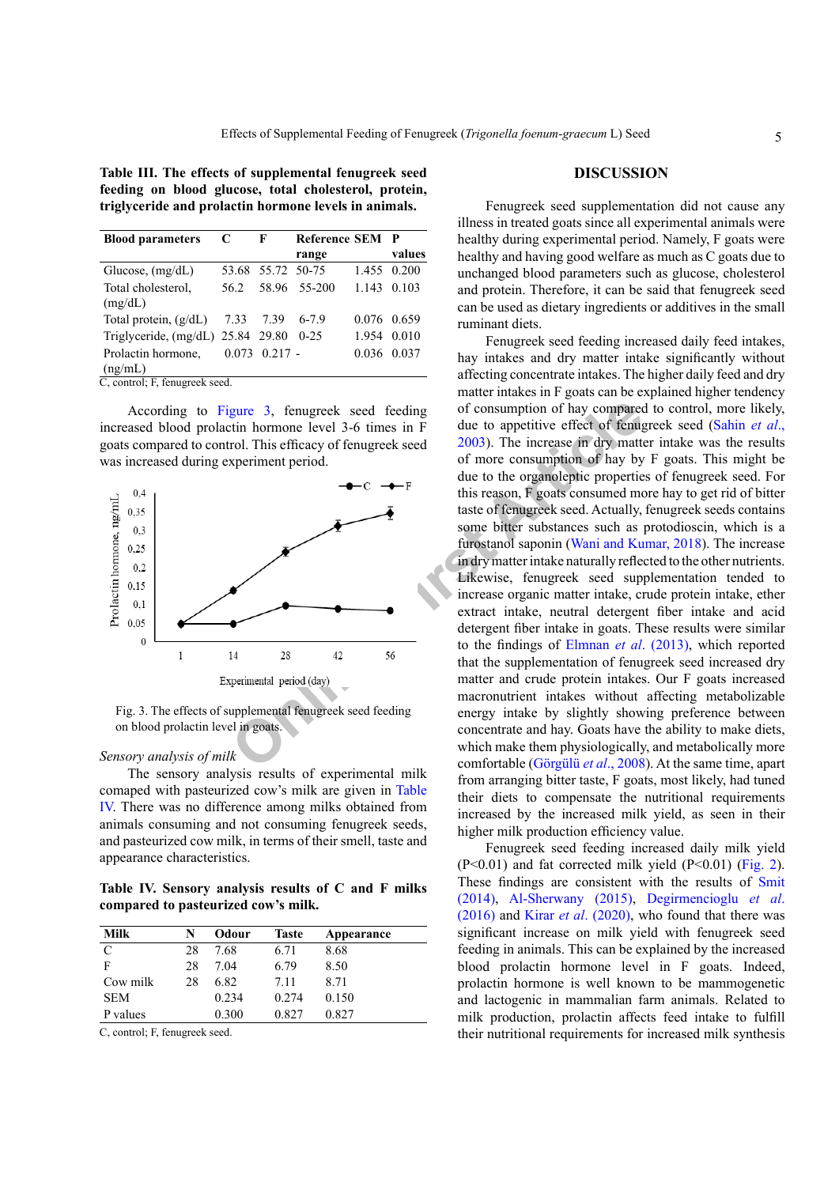<span id="page-4-0"></span>**Table III. The effects of supplemental fenugreek seed feeding on blood glucose, total cholesterol, protein, triglyceride and prolactin hormone levels in animals.**

| <b>Blood parameters</b>                | C    | F                 | Reference SEM P |       |             |
|----------------------------------------|------|-------------------|-----------------|-------|-------------|
|                                        |      |                   | range           |       | values      |
| Glucose, $(mg/dL)$                     |      | 53.68 55.72 50-75 |                 |       | 1.455 0.200 |
| Total cholesterol,                     | 56.2 |                   | 58.96 55-200    |       | 1.143 0.103 |
| (mg/dL)                                |      |                   |                 |       |             |
| Total protein, $(g/dL)$                |      | 7.33 7.39         | $6 - 7.9$       |       | 0.076 0.659 |
| Triglyceride, (mg/dL) 25.84 29.80 0-25 |      |                   |                 | 1.954 | 0.010       |
| Prolactin hormone.                     |      | $0.073$ 0.217 -   |                 |       | 0.036 0.037 |
| (ng/mL)                                |      |                   |                 |       |             |

C, control; F, fenugreek seed.

According to [Figure 3](#page-4-1), fenugreek seed feeding increased blood prolactin hormone level 3-6 times in F goats compared to control. This efficacy of fenugreek seed was increased during experiment period.



<span id="page-4-1"></span>Fig. 3. The effects of supplemental fenugreek seed feeding on blood prolactin level in goats.

#### *Sensory analysis of milk*

The sensory analysis results of experimental milk comaped with pasteurized cow's milk are given in [Table](#page-4-2) [IV.](#page-4-2) There was no difference among milks obtained from animals consuming and not consuming fenugreek seeds, and pasteurized cow milk, in terms of their smell, taste and appearance characteristics.

<span id="page-4-2"></span>**Table IV. Sensory analysis results of C and F milks compared to pasteurized cow's milk.**

| <b>Milk</b> | N  | Odour | <b>Taste</b> | Appearance |
|-------------|----|-------|--------------|------------|
| C           | 28 | 7.68  | 6.71         | 8.68       |
| F           | 28 | 7.04  | 6.79         | 8.50       |
| Cow milk    | 28 | 6.82  | 7.11         | 8 7 1      |
| <b>SEM</b>  |    | 0.234 | 0.274        | 0.150      |
| P values    |    | 0.300 | 0.827        | 0.827      |

C, control; F, fenugreek seed.

#### **DISCUSSION**

Fenugreek seed supplementation did not cause any illness in treated goats since all experimental animals were healthy during experimental period. Namely, F goats were healthy and having good welfare as much as C goats due to unchanged blood parameters such as glucose, cholesterol and protein. Therefore, it can be said that fenugreek seed can be used as dietary ingredients or additives in the small ruminant diets.

**Solution** Supplemental Fenigneck seed feeding of consumption of hay comparectin hormone level 3-6 times in F due to appetitive effect of fening the seed area in div supplement period.<br>
This efficacy of feningerek seed 200 Fenugreek seed feeding increased daily feed intakes, hay intakes and dry matter intake significantly without affecting concentrate intakes. The higher daily feed and dry matter intakes in F goats can be explained higher tendency of consumption of hay compared to control, more likely, due to appetitive effect of fenugreek seed [\(Sahin](#page-7-16) *et al*., 2003). The increase in dry matter intake was the results of more consumption of hay by F goats. This might be due to the organoleptic properties of fenugreek seed. For this reason, F goats consumed more hay to get rid of bitter taste of fenugreek seed. Actually, fenugreek seeds contains some bitter substances such as protodioscin, which is a furostanol saponin [\(Wani and Kumar, 2018\)](#page-8-1). The increase in dry matter intake naturally reflected to the other nutrients. Likewise, fenugreek seed supplementation tended to increase organic matter intake, crude protein intake, ether extract intake, neutral detergent fiber intake and acid detergent fiber intake in goats. These results were similar to the findings of Elmnan *et al*. (2013), which reported that the supplementation of fenugreek seed increased dry matter and crude protein intakes. Our F goats increased macronutrient intakes without affecting metabolizable energy intake by slightly showing preference between concentrate and hay. Goats have the ability to make diets, which make them physiologically, and metabolically more comfortable (Görgülü *et al*., 2008). At the same time, apart from arranging bitter taste, F goats, most likely, had tuned their diets to compensate the nutritional requirements increased by the increased milk yield, as seen in their higher milk production efficiency value.

> Fenugreek seed feeding increased daily milk yield  $(P<0.01)$  and fat corrected milk yield  $(P<0.01)$  ([Fig. 2](#page-3-1)). These findings are consistent with the results of [Smit](#page-7-10) [\(2014\)](#page-7-10), [Al-Sherwany \(2015\),](#page-6-6) [Degirmencioglu](#page-6-4) *et al*. [\(2016\)](#page-6-4) and Kirar *et al*[. \(2020\)](#page-7-8), who found that there was significant increase on milk yield with fenugreek seed feeding in animals. This can be explained by the increased blood prolactin hormone level in F goats. Indeed, prolactin hormone is well known to be mammogenetic and lactogenic in mammalian farm animals. Related to milk production, prolactin affects feed intake to fulfill their nutritional requirements for increased milk synthesis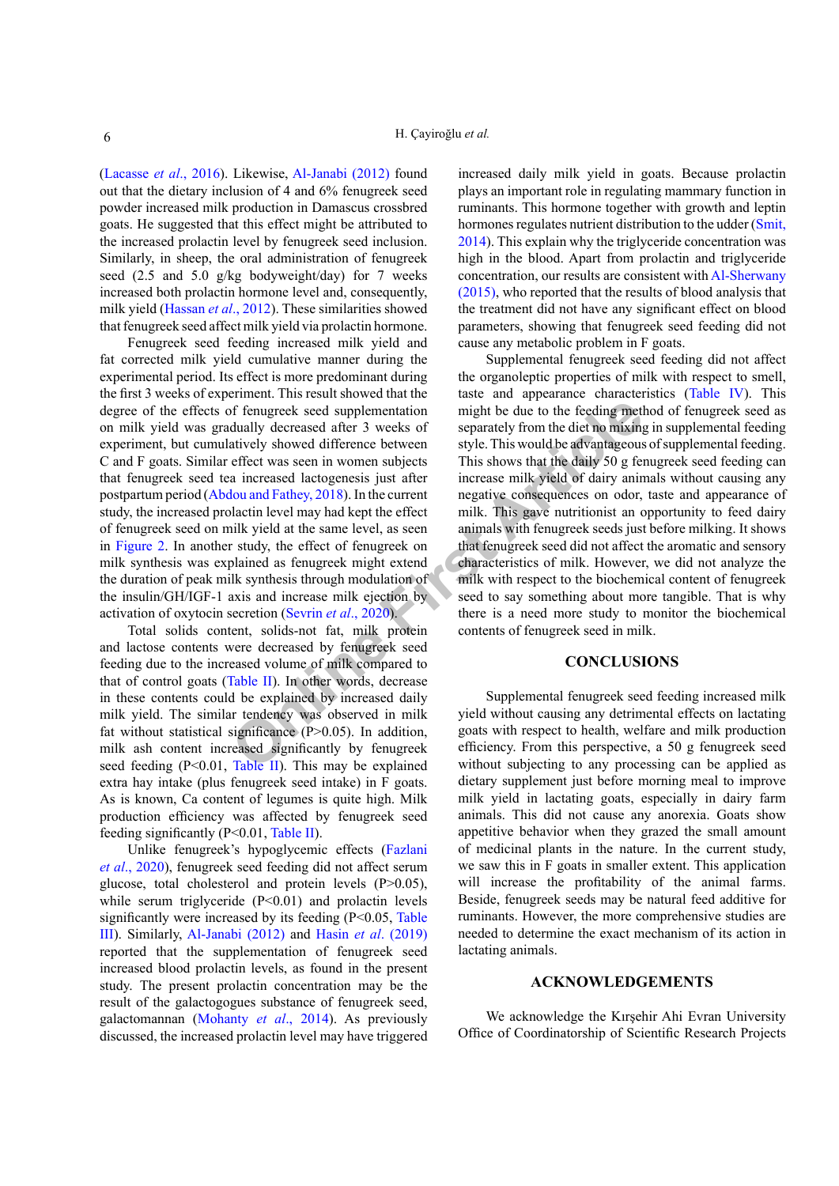[\(Lacasse](#page-7-17) *et al*., 2016). Likewise, [Al-Janabi \(2012\)](#page-6-8) found out that the dietary inclusion of 4 and 6% fenugreek seed powder increased milk production in Damascus crossbred goats. He suggested that this effect might be attributed to the increased prolactin level by fenugreek seed inclusion. Similarly, in sheep, the oral administration of fenugreek seed (2.5 and 5.0 g/kg bodyweight/day) for 7 weeks increased both prolactin hormone level and, consequently, milk yield ([Hassan](#page-6-14) *et al*., 2012). These similarities showed that fenugreek seed affect milk yield via prolactin hormone.

Fenugreek seed feeding increased milk yield and fat corrected milk yield cumulative manner during the experimental period. Its effect is more predominant during the first 3 weeks of experiment. This result showed that the degree of the effects of fenugreek seed supplementation on milk yield was gradually decreased after 3 weeks of experiment, but cumulatively showed difference between C and F goats. Similar effect was seen in women subjects that fenugreek seed tea increased lactogenesis just after postpartum period (Abdou and Fathey, 2018). In the current study, the increased prolactin level may had kept the effect of fenugreek seed on milk yield at the same level, as seen in [Figure 2.](#page-3-1) In another study, the effect of fenugreek on milk synthesis was explained as fenugreek might extend the duration of peak milk synthesis through modulation of the insulin/GH/IGF-1 axis and increase milk ejection by activation of oxytocin secretion (Sevrin *et al*., 2020).

Total solids content, solids-not fat, milk protein and lactose contents were decreased by fenugreek seed feeding due to the increased volume of milk compared to that of control goats (Table II). In other words, decrease in these contents could be explained by increased daily milk yield. The similar tendency was observed in milk fat without statistical significance  $(P>0.05)$ . In addition, milk ash content increased significantly by fenugreek seed feeding  $(P<0.01$ , Table II). This may be explained extra hay intake (plus fenugreek seed intake) in F goats. As is known, Ca content of legumes is quite high. Milk production efficiency was affected by fenugreek seed feeding significantly (P<0.01, [Table II](#page-3-0)).

Unlike fenugreek's hypoglycemic effects [\(Fazlani](#page-6-15) *et al*[., 2020\)](#page-6-15), fenugreek seed feeding did not affect serum glucose, total cholesterol and protein levels (P>0.05), while serum triglyceride (P<0.01) and prolactin levels significantly were increased by its feeding  $(P< 0.05, Table)$  $(P< 0.05, Table)$  $(P< 0.05, Table)$ [III\)](#page-4-0). Similarly, [Al-Janabi \(2012\)](#page-6-8) and Hasin *et al*[. \(2019\)](#page-6-7) reported that the supplementation of fenugreek seed increased blood prolactin levels, as found in the present study. The present prolactin concentration may be the result of the galactogogues substance of fenugreek seed, galactomannan [\(Mohanty](#page-7-7) *et al*., 2014). As previously discussed, the increased prolactin level may have triggered

increased daily milk yield in goats. Because prolactin plays an important role in regulating mammary function in ruminants. This hormone together with growth and leptin hormones regulates nutrient distribution to the udder [\(Smit,](#page-7-10)  [2014](#page-7-10)). This explain why the triglyceride concentration was high in the blood. Apart from prolactin and triglyceride concentration, our results are consistent with [Al-Sherwany](#page-6-6)  [\(2015\),](#page-6-6) who reported that the results of blood analysis that the treatment did not have any significant effect on blood parameters, showing that fenugreek seed feeding did not cause any metabolic problem in F goats.

of fenugreek seed supplementation<br>
or fenugreek seed supplementation<br>
dually decreased after 3 weeks of<br>
separately from the diet no mixing<br>
artively showed difference between<br>
style. This would be advantageous<br>
article wa Supplemental fenugreek seed feeding did not affect the organoleptic properties of milk with respect to smell, taste and appearance characteristics [\(Table IV](#page-4-2)). This might be due to the feeding method of fenugreek seed as separately from the diet no mixing in supplemental feeding style. This would be advantageous of supplemental feeding. This shows that the daily 50 g fenugreek seed feeding can increase milk yield of dairy animals without causing any negative consequences on odor, taste and appearance of milk. This gave nutritionist an opportunity to feed dairy animals with fenugreek seeds just before milking. It shows that fenugreek seed did not affect the aromatic and sensory characteristics of milk. However, we did not analyze the milk with respect to the biochemical content of fenugreek seed to say something about more tangible. That is why there is a need more study to monitor the biochemical contents of fenugreek seed in milk.

# **CONCLUSIONS**

Supplemental fenugreek seed feeding increased milk yield without causing any detrimental effects on lactating goats with respect to health, welfare and milk production efficiency. From this perspective, a 50 g fenugreek seed without subjecting to any processing can be applied as dietary supplement just before morning meal to improve milk yield in lactating goats, especially in dairy farm animals. This did not cause any anorexia. Goats show appetitive behavior when they grazed the small amount of medicinal plants in the nature. In the current study, we saw this in F goats in smaller extent. This application will increase the profitability of the animal farms. Beside, fenugreek seeds may be natural feed additive for ruminants. However, the more comprehensive studies are needed to determine the exact mechanism of its action in lactating animals.

#### **ACKNOWLEDGEMENTS**

We acknowledge the Kırşehir Ahi Evran University Office of Coordinatorship of Scientific Research Projects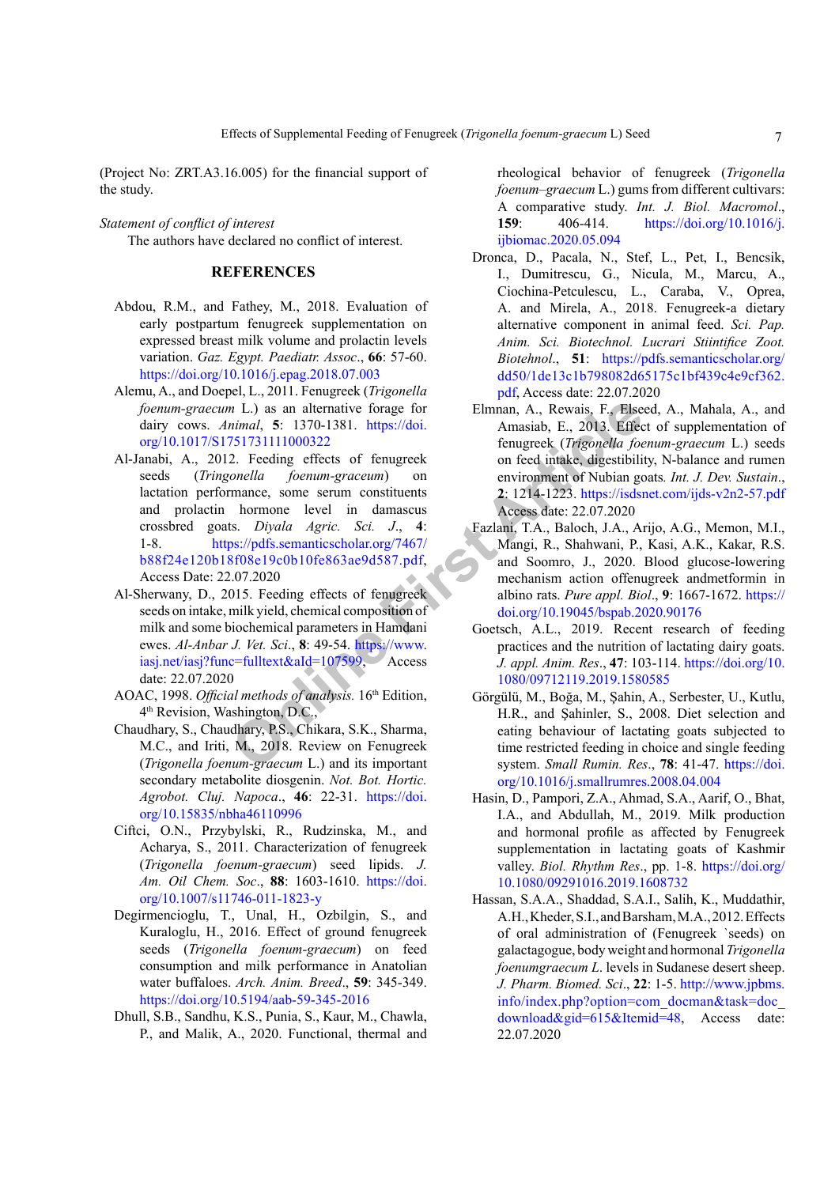(Project No: ZRT.A3.16.005) for the financial support of the study.

*Statement of conflict of interest* The authors have declared no conflict of interest.

# **REFERENCES**

- <span id="page-6-11"></span>Abdou, R.M., and Fathey, M., 2018. Evaluation of early postpartum fenugreek supplementation on expressed breast milk volume and prolactin levels variation. *Gaz. Egypt. Paediatr. Assoc*., **66**: 57-60. <https://doi.org/10.1016/j.epag.2018.07.003>
- <span id="page-6-3"></span>Alemu, A., and Doepel, L., 2011. Fenugreek (*Trigonella foenum-graecum* L.) as an alternative forage for dairy cows. *Animal*, **5**: 1370-1381. https://doi. [org/10.1017/S1751731111000322](https://doi.org/10.1017/S1751731111000322)
- <span id="page-6-8"></span>n L.) as an alternative forage for<br>
Ilmnan, A., Rewais, F., Else<br>
nimal, 5: 1370-1381. https://doi.<br>
Amasiab, E., 2013. Effects<br>
2. Techniq effects of fenugreek (*Trigonella fooline allead the concella foremary accum*) on<br> Al-Janabi, A., 2012. Feeding effects of fenugreek seeds (*Tringonella foenum-graceum*) on lactation performance, some serum constituents and prolactin hormone level in damascus crossbred goats. *Diyala Agric. Sci. J*., **4**: 1-8. https://pdfs.semanticscholar.org/7467/ [b88f24e120b18f08e19c0b10fe863ae9d587.pdf,](https://pdfs.semanticscholar.org/7467/b88f24e120b18f08e19c0b10fe863ae9d587.pdf) Access Date: 22.07.2020
- <span id="page-6-6"></span>Al-Sherwany, D., 2015. Feeding effects of fenugreek seeds on intake, milk yield, chemical composition of milk and some biochemical parameters in Hamdani ewes. *Al-Anbar J. Vet. Sci*., **8**: 49-54. https://www. [iasj.net/iasj?func=fulltext&aId=107599](https://www.iasj.net/iasj?func=fulltext&aId=107599), Access date: 22.07.2020
- <span id="page-6-12"></span>AOAC, 1998. *Official methods of analysis.* 16th Edition, 4th Revision, Washington, D.C.,
- <span id="page-6-1"></span>Chaudhary, S., Chaudhary, P.S., Chikara, S.K., Sharma, M.C., and Iriti, M., 2018. Review on Fenugreek (*Trigonella foenum-graecum* L.) and its important secondary metabolite diosgenin. *Not. Bot. Hortic. Agrobot. Cluj. Napoca*., **46**: 22-31. [https://doi.](https://doi.org/10.15835/nbha46110996) [org/10.15835/nbha46110996](https://doi.org/10.15835/nbha46110996)
- <span id="page-6-9"></span>Ciftci, O.N., Przybylski, R., Rudzinska, M., and Acharya, S., 2011. Characterization of fenugreek (*Trigonella foenum-graecum*) seed lipids. *J. Am. Oil Chem. Soc*., **88**: 1603-1610. [https://doi.](https://doi.org/10.1007/s11746-011-1823-y) [org/10.1007/s11746-011-1823-y](https://doi.org/10.1007/s11746-011-1823-y)
- <span id="page-6-4"></span>Degirmencioglu, T., Unal, H., Ozbilgin, S., and Kuraloglu, H., 2016. Effect of ground fenugreek seeds (*Trigonella foenum-graecum*) on feed consumption and milk performance in Anatolian water buffaloes. *Arch. Anim. Breed*., **59**: 345-349. <https://doi.org/10.5194/aab-59-345-2016>
- <span id="page-6-5"></span>Dhull, S.B., Sandhu, K.S., Punia, S., Kaur, M., Chawla, P., and Malik, A., 2020. Functional, thermal and

rheological behavior of fenugreek (*Trigonella foenum–graecum* L.) gums from different cultivars: A comparative study. *Int. J. Biol. Macromol*., **159**: 406-414. [https://doi.org/10.1016/j.](https://doi.org/10.1016/j.ijbiomac.2020.05.094) [ijbiomac.2020.05.094](https://doi.org/10.1016/j.ijbiomac.2020.05.094)

- <span id="page-6-2"></span>Dronca, D., Pacala, N., Stef, L., Pet, I., Bencsik, I., Dumitrescu, G., Nicula, M., Marcu, A., Ciochina-Petculescu, L., Caraba, V., Oprea, A. and Mirela, A., 2018. Fenugreek-a dietary alternative component in animal feed. *Sci. Pap. Anim. Sci. Biotechnol. Lucrari Stiintifice Zoot. Biotehnol*., **51**: [https://pdfs.semanticscholar.org/](https://pdfs.semanticscholar.org/dd50/1de13c1b798082d65175c1bf439c4e9cf362.pdf) [dd50/1de13c1b798082d65175c1bf439c4e9cf362.](https://pdfs.semanticscholar.org/dd50/1de13c1b798082d65175c1bf439c4e9cf362.pdf) [pdf](https://pdfs.semanticscholar.org/dd50/1de13c1b798082d65175c1bf439c4e9cf362.pdf), Access date: 22.07.2020
- <span id="page-6-10"></span>Elmnan, A., Rewais, F., Elseed, A., Mahala, A., and Amasiab, E., 2013. Effect of supplementation of fenugreek (*Trigonella foenum-graecum* L.) seeds on feed intake, digestibility, N-balance and rumen environment of Nubian goats*. Int. J. Dev. Sustain*., **2**: 1214-1223. [https://isdsnet.com/ijds-v2n2-57.pdf](https://isdsnet.com/ijds-v2n2-57.pdf ) Access date: 22.07.2020
- <span id="page-6-15"></span>Fazlani, T.A., Baloch, J.A., Arijo, A.G., Memon, M.I., Mangi, R., Shahwani, P., Kasi, A.K., Kakar, R.S. and Soomro, J., 2020. Blood glucose-lowering mechanism action offenugreek andmetformin in albino rats. *Pure appl. Biol*., **9**: 1667-1672. [https://](https://doi.org/10.19045/bspab.2020.90176) [doi.org/10.19045/bspab.2020.90176](https://doi.org/10.19045/bspab.2020.90176)
- <span id="page-6-0"></span>Goetsch, A.L., 2019. Recent research of feeding practices and the nutrition of lactating dairy goats. *J. appl. Anim. Res*., **47**: 103-114. [https://doi.org/10.](https://doi.org/10.1080/09712119.2019.1580585) 1080/09712119.2019.1580585
- <span id="page-6-13"></span>Görgülü, M., Boğa, M., Şahin, A., Serbester, U., Kutlu, H.R., and Şahinler, S., 2008. Diet selection and eating behaviour of lactating goats subjected to time restricted feeding in choice and single feeding system. *Small Rumin. Res*., **78**: 41-47. [https://doi.](https://doi.org/10.1016/j.smallrumres.2008.04.004) [org/10.1016/j.smallrumres.2008.04.004](https://doi.org/10.1016/j.smallrumres.2008.04.004)
- <span id="page-6-7"></span>Hasin, D., Pampori, Z.A., Ahmad, S.A., Aarif, O., Bhat, I.A., and Abdullah, M., 2019. Milk production and hormonal profile as affected by Fenugreek supplementation in lactating goats of Kashmir valley. *Biol. Rhythm Res*., pp. 1-8. [https://doi.org/](https://doi.org/10.1080/09291016.2019.1608732) [10.1080/09291016.2019.1608732](https://doi.org/10.1080/09291016.2019.1608732)
- <span id="page-6-14"></span>Hassan, S.A.A., Shaddad, S.A.I., Salih, K., Muddathir, A.H., Kheder, S.I., and Barsham, M.A., 2012. Effects of oral administration of (Fenugreek `seeds) on galactagogue, body weight and hormonal *Trigonella foenumgraecum L*. levels in Sudanese desert sheep. *J. Pharm. Biomed. Sci*., **22**: 1-5. [http://www.jpbms.](http://www.jpbms.info/index.php?option=com_docman&task=doc_download&gid=615&Itemid=48) [info/index.php?option=com\\_docman&task=doc\\_](http://www.jpbms.info/index.php?option=com_docman&task=doc_download&gid=615&Itemid=48) [download&gid=615&Itemid=48](http://www.jpbms.info/index.php?option=com_docman&task=doc_download&gid=615&Itemid=48), Access date: 22.07.2020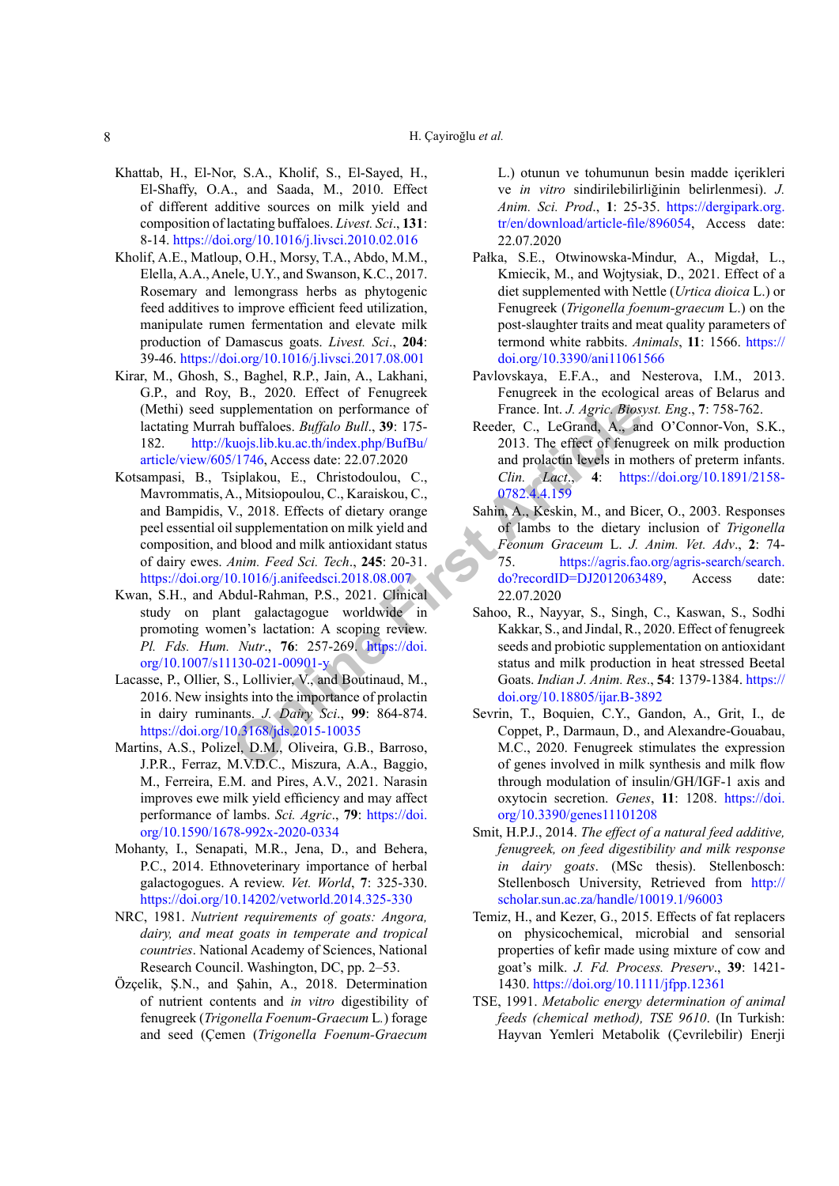- <span id="page-7-3"></span>Khattab, H., El-Nor, S.A., Kholif, S., El-Sayed, H., El-Shaffy, O.A., and Saada, M., 2010. Effect of different additive sources on milk yield and composition of lactating buffaloes. *Livest. Sci*., **131**: 8-14. <https://doi.org/10.1016/j.livsci.2010.02.016>
- <span id="page-7-0"></span>Kholif, A.E., Matloup, O.H., Morsy, T.A., Abdo, M.M., Elella, A.A., Anele, U.Y., and Swanson, K.C., 2017. Rosemary and lemongrass herbs as phytogenic feed additives to improve efficient feed utilization, manipulate rumen fermentation and elevate milk production of Damascus goats. *Livest. Sci*., **204**: 39-46. <https://doi.org/10.1016/j.livsci.2017.08.001>
- <span id="page-7-8"></span>Kirar, M., Ghosh, S., Baghel, R.P., Jain, A., Lakhani, G.P., and Roy, B., 2020. Effect of Fenugreek (Methi) seed supplementation on performance of lactating Murrah buffaloes. *Buffalo Bull*., **39**: 175- 182. http://kuojs.lib.ku.ac.th/index.php/BufBu/ [article/view/605/1746](http://kuojs.lib.ku.ac.th/index.php/BufBu/article/view/605/1746), Access date: 22.07.2020
- <span id="page-7-1"></span>**Examplementation on performanc[e](https://doi.org/10.1007/s11130-021-00901-y) of**<br> **France.** Int. J. Agric. Biosy<br>
humidiology. Iib.ku.ac.th/index.php/BufBu/<br>
2013. The effect of fenugrals in model polarity and prolocular and production levels in model<br>
Signification Kotsampasi, B., Tsiplakou, E., Christodoulou, C., Mavrommatis, A., Mitsiopoulou, C., Karaiskou, C., and Bampidis, V., 2018. Effects of dietary orange peel essential oil supplementation on milk yield and composition, and blood and milk antioxidant status of dairy ewes. *Anim. Feed Sci. Tech*., **245**: 20-31. <https://doi.org/10.1016/j.anifeedsci.2018.08.007>
- <span id="page-7-2"></span>Kwan, S.H., and Abdul-Rahman, P.S., 2021. Clinical study on plant galactagogue worldwide in promoting women's lactation: A scoping review. *Pl. Fds. Hum. Nutr*., **76**: 257-269. https://doi. [org/10.1007/s11130-021-00901-y](https://doi.org/10.1007/s11130-021-00901-y)
- <span id="page-7-17"></span>Lacasse, P., Ollier, S., Lollivier, V., and Boutinaud, M., 2016. New insights into the importance of prolactin in dairy ruminants. *J. Dairy Sci*., **99**: 864-874. <https://doi.org/10.3168/jds.2015-10035>
- <span id="page-7-14"></span>Martins, A.S., Polizel, D.M., Oliveira, G.B., Barroso, J.P.R., Ferraz, M.V.D.C., Miszura, A.A., Baggio, M., Ferreira, E.M. and Pires, A.V., 2021. Narasin improves ewe milk yield efficiency and may affect performance of lambs. *Sci. Agric*., **79**: [https://doi.](https://doi.org/10.1590/1678-992x-2020-0334) [org/10.1590/1678-992x-2020-0334](https://doi.org/10.1590/1678-992x-2020-0334)
- <span id="page-7-7"></span>Mohanty, I., Senapati, M.R., Jena, D., and Behera, P.C., 2014. Ethnoveterinary importance of herbal galactogogues. A review. *Vet. World*, **7**: 325-330. <https://doi.org/10.14202/vetworld.2014.325-330>
- <span id="page-7-12"></span>NRC, 1981. *Nutrient requirements of goats: Angora, dairy, and meat goats in temperate and tropical countries*. National Academy of Sciences, National Research Council. Washington, DC, pp. 2–53.
- <span id="page-7-5"></span>Özçelik, Ş.N., and Şahin, A., 2018. Determination of nutrient contents and *in vitro* digestibility of fenugreek (*Trigonella Foenum-Graecum* L*.*) forage and seed (Çemen (*Trigonella Foenum-Graecum*

L.) otunun ve tohumunun besin madde içerikleri ve *in vitro* sindirilebilirliğinin belirlenmesi). *J. Anim. Sci. Prod*., **1**: 25-35. [https://dergipark.org.](https://dergipark.org.tr/en/download/article-file/896054) [tr/en/download/article-file/896054](https://dergipark.org.tr/en/download/article-file/896054), Access date: 22.07.2020

- <span id="page-7-4"></span>Pałka, S.E., Otwinowska-Mindur, A., Migdał, L., Kmiecik, M., and Wojtysiak, D., 2021. Effect of a diet supplemented with Nettle (*Urtica dioica* L.) or Fenugreek (*Trigonella foenum-graecum* L.) on the post-slaughter traits and meat quality parameters of termond white rabbits. *Animals*, **11**: 1566. [https://](https://doi.org/10.3390/ani11061566) [doi.org/10.3390/ani11061566](https://doi.org/10.3390/ani11061566)
- <span id="page-7-6"></span>Pavlovskaya, E.F.A., and Nesterova, I.M., 2013. Fenugreek in the ecological areas of Belarus and France. Int. *J. Agric. Biosyst. Eng*., **7**: 758-762.
- <span id="page-7-11"></span>Reeder, C., LeGrand, A., and O'Connor-Von, S.K., 2013. The effect of fenugreek on milk production and prolactin levels in mothers of preterm infants. *Clin. Lact*., **4**: [https://doi.org/10.1891/2158-](https://doi.org/10.1891/2158-0782.4.4.159) 0782.4.4.159
- <span id="page-7-16"></span>Sahin, A., Keskin, M., and Bicer, O., 2003. Responses of lambs to the dietary inclusion of *Trigonella Feonum Graceum* L. *J. Anim. Vet. Adv*., **2**: 74- 75. [https://agris.fao.org/agris-search/search.](https://agris.fao.org/agris-search/search.do?recordID=DJ2012063489) do?recordID=DJ2012063489, Access date: 22.07.2020
- <span id="page-7-9"></span>Sahoo, R., Nayyar, S., Singh, C., Kaswan, S., Sodhi Kakkar, S., and Jindal, R., 2020. Effect of fenugreek seeds and probiotic supplementation on antioxidant status and milk production in heat stressed Beetal Goats. *Indian J. Anim. Res*., **54**: 1379-1384. [https://](https://doi.org/10.18805/ijar.B-3892) doi.org/10.18805/ijar.B-3892
- <span id="page-7-18"></span>Sevrin, T., Boquien, C.Y., Gandon, A., Grit, I., de Coppet, P., Darmaun, D., and Alexandre-Gouabau, M.C., 2020. Fenugreek stimulates the expression of genes involved in milk synthesis and milk flow through modulation of insulin/GH/IGF-1 axis and oxytocin secretion. *Genes*, **11**: 1208. [https://doi.](https://doi.org/10.3390/genes11101208) [org/10.3390/genes11101208](https://doi.org/10.3390/genes11101208)
- <span id="page-7-10"></span>Smit, H.P.J., 2014. *The effect of a natural feed additive, fenugreek, on feed digestibility and milk response in dairy goats*. (MSc thesis). Stellenbosch: Stellenbosch University, Retrieved from [http://](http://scholar.sun.ac.za/handle/10019.1/96003) [scholar.sun.ac.za/handle/10019.1/96003](http://scholar.sun.ac.za/handle/10019.1/96003)
- <span id="page-7-15"></span>Temiz, H., and Kezer, G., 2015. Effects of fat replacers on physicochemical, microbial and sensorial properties of kefir made using mixture of cow and goat's milk. *J. Fd. Process. Preserv*., **39**: 1421- 1430.<https://doi.org/10.1111/jfpp.12361>
- <span id="page-7-13"></span>TSE, 1991. *Metabolic energy determination of animal feeds (chemical method), TSE 9610*. (In Turkish: Hayvan Yemleri Metabolik (Çevrilebilir) Enerji

8